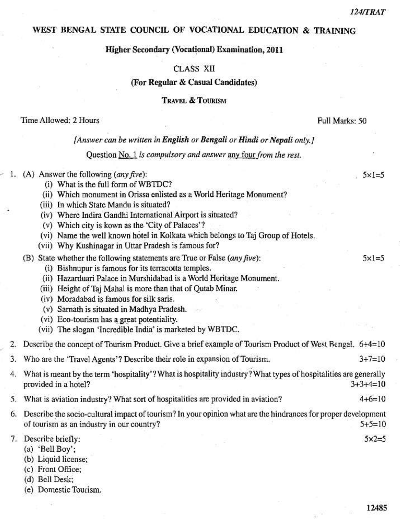$5x = 5$ 

 $5x1=5$ 

Full Marks: 50

#### WEST BENGAL STATE COUNCIL OF VOCATIONAL EDUCATION & TRAINING

## **Higher Secondary (Vocational) Examination, 2011**

#### **CLASS XII**

#### (For Regular & Casual Candidates)

## **TRAVEL & TOURISM**

#### Time Allowed: 2 Hours

#### [Answer can be written in English or Bengali or Hindi or Nepali only,]

#### Question No. 1 is compulsory and answer any four from the rest.

## 1. (A) Answer the following  $(\text{any five})$ :

- (i) What is the full form of WBTDC?
- (ii) Which monument in Orissa enlisted as a World Heritage Monument?
- (iii) In which State Mandu is situated?
- (iv) Where Indira Gandhi International Airport is situated?
- (v) Which city is kown as the 'City of Palaces'?
- (vi) Name the well known hotel in Kolkata which belongs to Taj Group of Hotels.
- (vii) Why Kushinagar in Uttar Pradesh is famous for?

(B) State whether the following statements are True or False (any five):

- (i) Bishnupur is famous for its terracotta temples.
- (ii) Hazarduari Palace in Murshidabad is a World Heritage Monument.
- (iii) Height of Taj Mahal is more than that of Qutab Minar.
- (iv) Moradabad is famous for silk saris.
- (v) Sarnath is situated in Madhya Pradesh.
- (vi) Eco-tourism has a great potentiality.
- (vii) The slogan 'Incredible India' is marketed by WBTDC.

| 2. Describe the concept of Tourism Product. Give a brief example of Tourism Product of West Rengal. 6+4=10 |          |
|------------------------------------------------------------------------------------------------------------|----------|
| 3. Who are the 'Travel Agents'? Describe their role in expansion of Tourism.                               | $3+7=10$ |

- What is meant by the term 'hospitality'? What is hospitality industry? What types of hospitalities are generally 4. provided in a hotel?  $3+3+4=10$
- $4+6=10$ 5. What is aviation industry? What sort of hospitalities are provided in aviation?
- 6. Describe the socio-cultural impact of tourism? In your opinion what are the hindrances for proper development of tourism as an industry in our country?  $5+5=10$

7. Describe briefly:

- (a) 'Bell Boy';
- (b) Liquid license;
- (c) Front Office:
- (d) Bell Desk:
- (e) Domestic Tourism.

 $5x2=5$